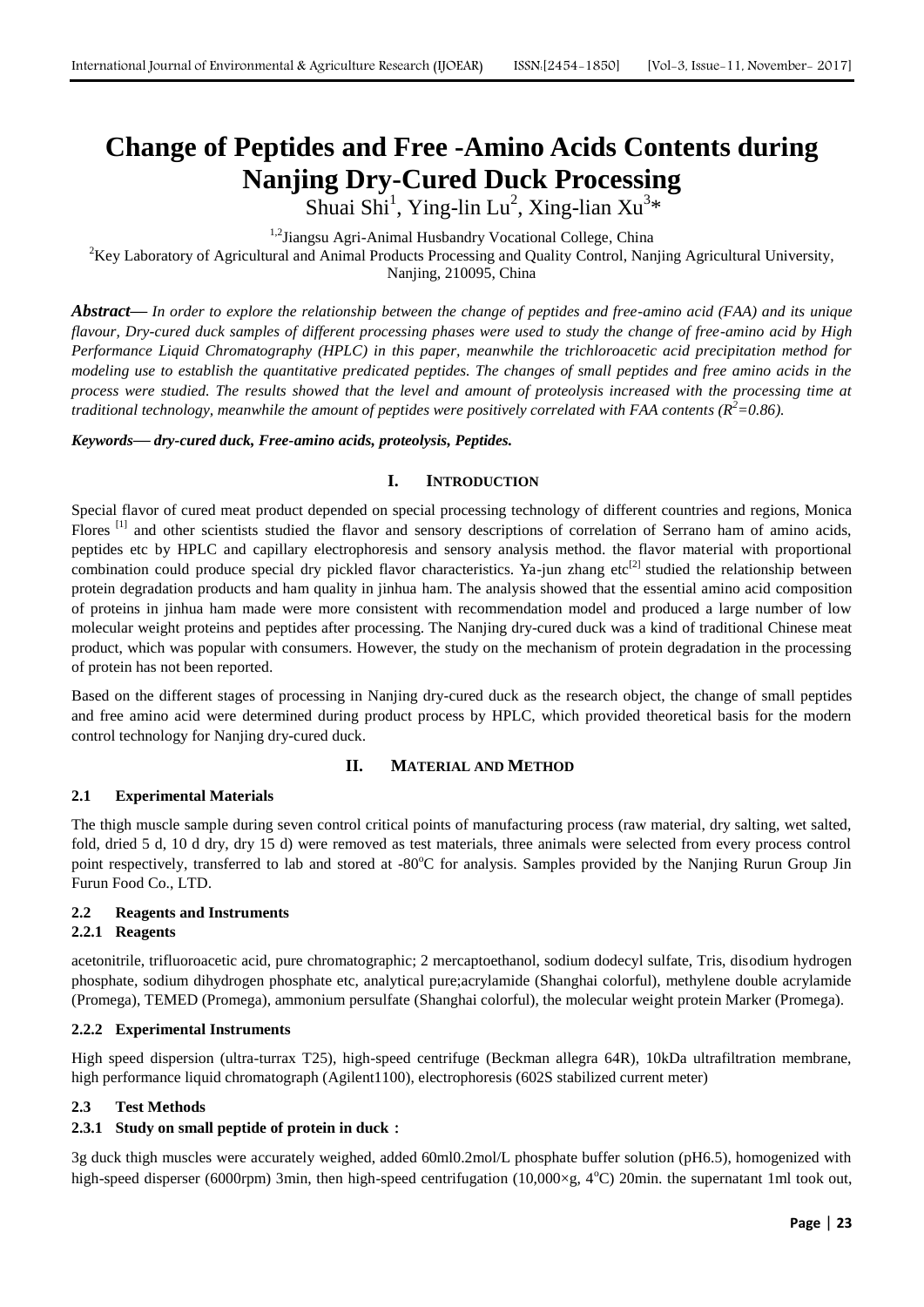# **Change of Peptides and Free -Amino Acids Contents during Nanjing Dry-Cured Duck Processing**

Shuai Shi<sup>1</sup>, Ying-lin Lu<sup>2</sup>, Xing-lian Xu<sup>3</sup>\*

<sup>1,2</sup>Jiangsu Agri-Animal Husbandry Vocational College, China

<sup>2</sup>Key Laboratory of Agricultural and Animal Products Processing and Quality Control, Nanjing Agricultural University,

Nanjing, 210095, China

*Abstract***—** *In order to explore the relationship between the change of peptides and free-amino acid (FAA) and its unique flavour, Dry-cured duck samples of different processing phases were used to study the change of free-amino acid by High Performance Liquid Chromatography (HPLC) in this paper, meanwhile the trichloroacetic acid precipitation method for modeling use to establish the quantitative predicated peptides. The changes of small peptides and free amino acids in the process were studied. The results showed that the level and amount of proteolysis increased with the processing time at traditional technology, meanwhile the amount of peptides were positively correlated with FAA contents (R <sup>2</sup>=0.86).*

#### *Keywords***—** *dry-cured duck, Free-amino acids, proteolysis, Peptides.*

# **I. INTRODUCTION**

Special flavor of cured meat product depended on special processing technology of different countries and regions, Monica Flores<sup>[1]</sup> and other scientists studied the flavor and sensory descriptions of correlation of Serrano ham of amino acids, peptides etc by HPLC and capillary electrophoresis and sensory analysis method. the flavor material with proportional combination could produce special dry pickled flavor characteristics. Ya-jun zhang etc<sup>[2]</sup> studied the relationship between protein degradation products and ham quality in jinhua ham. The analysis showed that the essential amino acid composition of proteins in jinhua ham made were more consistent with recommendation model and produced a large number of low molecular weight proteins and peptides after processing. The Nanjing dry-cured duck was a kind of traditional Chinese meat product, which was popular with consumers. However, the study on the mechanism of protein degradation in the processing of protein has not been reported.

Based on the different stages of processing in Nanjing dry-cured duck as the research object, the change of small peptides and free amino acid were determined during product process by HPLC, which provided theoretical basis for the modern control technology for Nanjing dry-cured duck.

# **II. MATERIAL AND METHOD**

# **2.1 Experimental Materials**

The thigh muscle sample during seven control critical points of manufacturing process (raw material, dry salting, wet salted, fold, dried 5 d, 10 d dry, dry 15 d) were removed as test materials, three animals were selected from every process control point respectively, transferred to lab and stored at -80°C for analysis. Samples provided by the Nanjing Rurun Group Jin Furun Food Co., LTD.

# **2.2 Reagents and Instruments**

# **2.2.1 Reagents**

acetonitrile, trifluoroacetic acid, pure chromatographic; 2 mercaptoethanol, sodium dodecyl sulfate, Tris, disodium hydrogen phosphate, sodium dihydrogen phosphate etc, analytical pure;acrylamide (Shanghai colorful), methylene double acrylamide (Promega), TEMED (Promega), ammonium persulfate (Shanghai colorful), the molecular weight protein Marker (Promega).

# **2.2.2 Experimental Instruments**

High speed dispersion (ultra-turrax T25), high-speed centrifuge (Beckman allegra 64R), 10kDa ultrafiltration membrane, high performance liquid chromatograph (Agilent1100), electrophoresis (602S stabilized current meter)

# **2.3 Test Methods**

# **2.3.1 Study on small peptide of protein in duck**:

3g duck thigh muscles were accurately weighed, added 60ml0.2mol/L phosphate buffer solution (pH6.5), homogenized with high-speed disperser (6000rpm) 3min, then high-speed centrifugation (10,000×g, 4 $\degree$ C) 20min. the supernatant 1ml took out,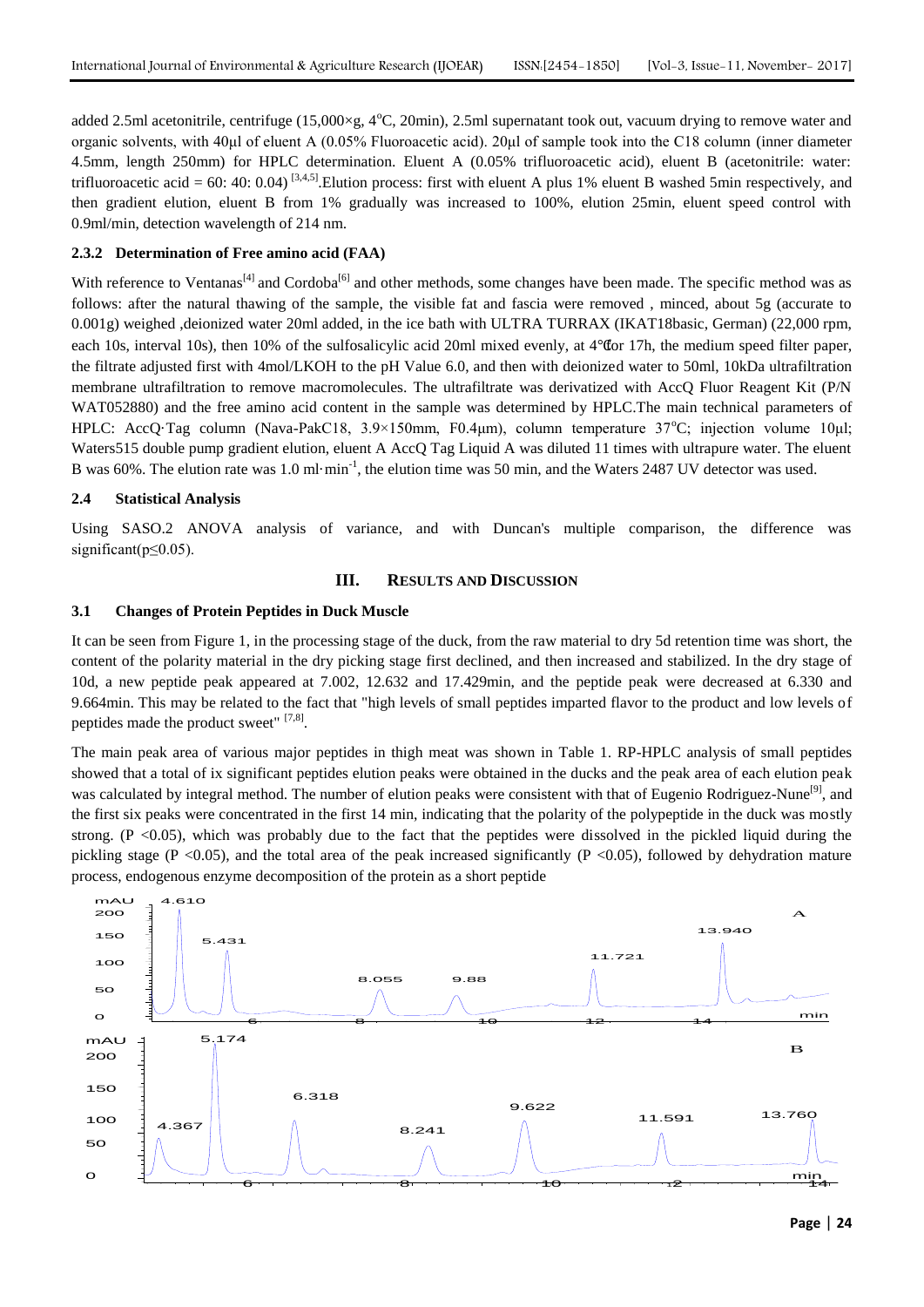added 2.5ml acetonitrile, centrifuge  $(15,000 \times g, 4^{\circ}C, 20 \text{min})$ , 2.5ml supernatant took out, vacuum drying to remove water and organic solvents, with 40μl of eluent A (0.05% Fluoroacetic acid). 20μl of sample took into the C18 column (inner diameter 4.5mm, length 250mm) for HPLC determination. Eluent A (0.05% trifluoroacetic acid), eluent B (acetonitrile: water: trifluoroacetic acid = 60: 40: 0.04)<sup>[3,4,5]</sup>. Elution process: first with eluent A plus 1% eluent B washed 5min respectively, and then gradient elution, eluent B from 1% gradually was increased to 100%, elution 25min, eluent speed control with 0.9ml/min, detection wavelength of 214 nm.

# **2.3.2 Determination of Free amino acid (FAA)**

With reference to Ventanas<sup>[4]</sup> and Cordoba<sup>[6]</sup> and other methods, some changes have been made. The specific method was as follows: after the natural thawing of the sample, the visible fat and fascia were removed , minced, about 5g (accurate to 0.001g) weighed ,deionized water 20ml added, in the ice bath with ULTRA TURRAX (IKAT18basic, German) (22,000 rpm, each 10s, interval 10s), then 10% of the sulfosalicylic acid 20ml mixed evenly, at 4℃for 17h, the medium speed filter paper, the filtrate adjusted first with 4mol/LKOH to the pH Value 6.0, and then with deionized water to 50ml, 10kDa ultrafiltration membrane ultrafiltration to remove macromolecules. The ultrafiltrate was derivatized with AccQ Fluor Reagent Kit (P/N WAT052880) and the free amino acid content in the sample was determined by HPLC.The main technical parameters of HPLC: AccQ·Tag column (Nava-PakC18,  $3.9 \times 150$ mm, F0.4 $\mu$ m), column temperature  $37^{\circ}$ C; injection volume 10 $\mu$ l; Waters515 double pump gradient elution, eluent A AccQ Tag Liquid A was diluted 11 times with ultrapure water. The eluent B was 60%. The elution rate was 1.0 ml·min<sup>-1</sup>, the elution time was 50 min, and the Waters 2487 UV detector was used.

#### **2.4 Statistical Analysis**

Using SASO.2 ANOVA analysis of variance, and with Duncan's multiple comparison, the difference was significant( $p \le 0.05$ ).

# **III. RESULTS AND DISCUSSION**

#### **3.1 Changes of Protein Peptides in Duck Muscle**

It can be seen from Figure 1, in the processing stage of the duck, from the raw material to dry 5d retention time was short, the content of the polarity material in the dry picking stage first declined, and then increased and stabilized. In the dry stage of 10d, a new peptide peak appeared at 7.002, 12.632 and 17.429min, and the peptide peak were decreased at 6.330 and 9.664min. This may be related to the fact that "high levels of small peptides imparted flavor to the product and low levels of peptides made the product sweet" [7,8].

The main peak area of various major peptides in thigh meat was shown in Table 1. RP-HPLC analysis of small peptides showed that a total of ix significant peptides elution peaks were obtained in the ducks and the peak area of each elution peak was calculated by integral method. The number of elution peaks were consistent with that of Eugenio Rodriguez-Nune<sup>[9]</sup>, and the first six peaks were concentrated in the first 14 min, indicating that the polarity of the polypeptide in the duck was mostly strong. (P  $<$ 0.05), which was probably due to the fact that the peptides were dissolved in the pickled liquid during the pickling stage (P <0.05), and the total area of the peak increased significantly (P <0.05), followed by dehydration mature process, endogenous enzyme decomposition of the protein as a short peptide

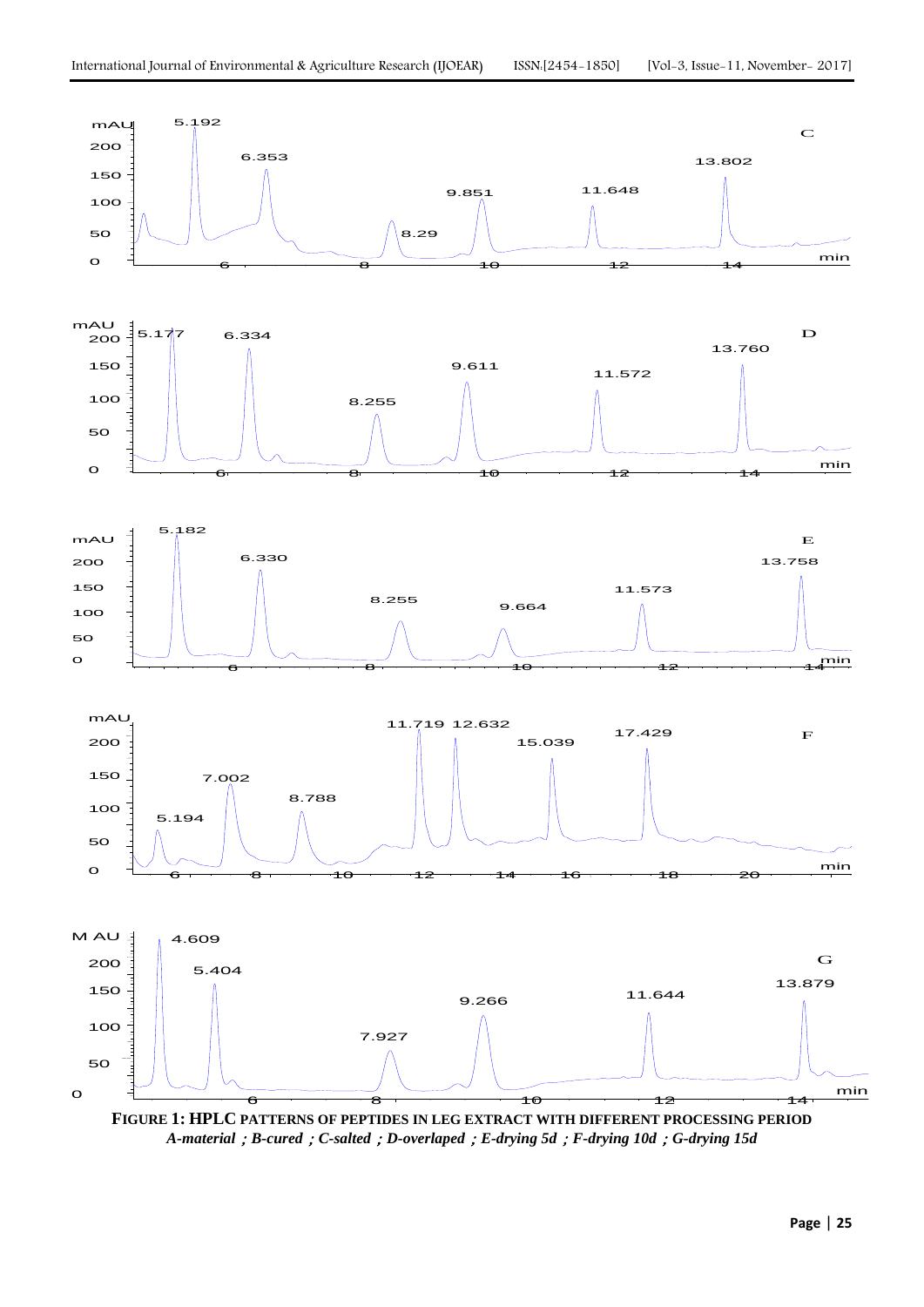

**FIGURE 1: HPLC PATTERNS OF PEPTIDES IN LEG EXTRACT WITH DIFFERENT PROCESSING PERIOD** *A-material*;*B-cured*;*C-salted*;*D-overlaped*;*E-drying 5d*;*F-drying 10d*;*G-drying 15d*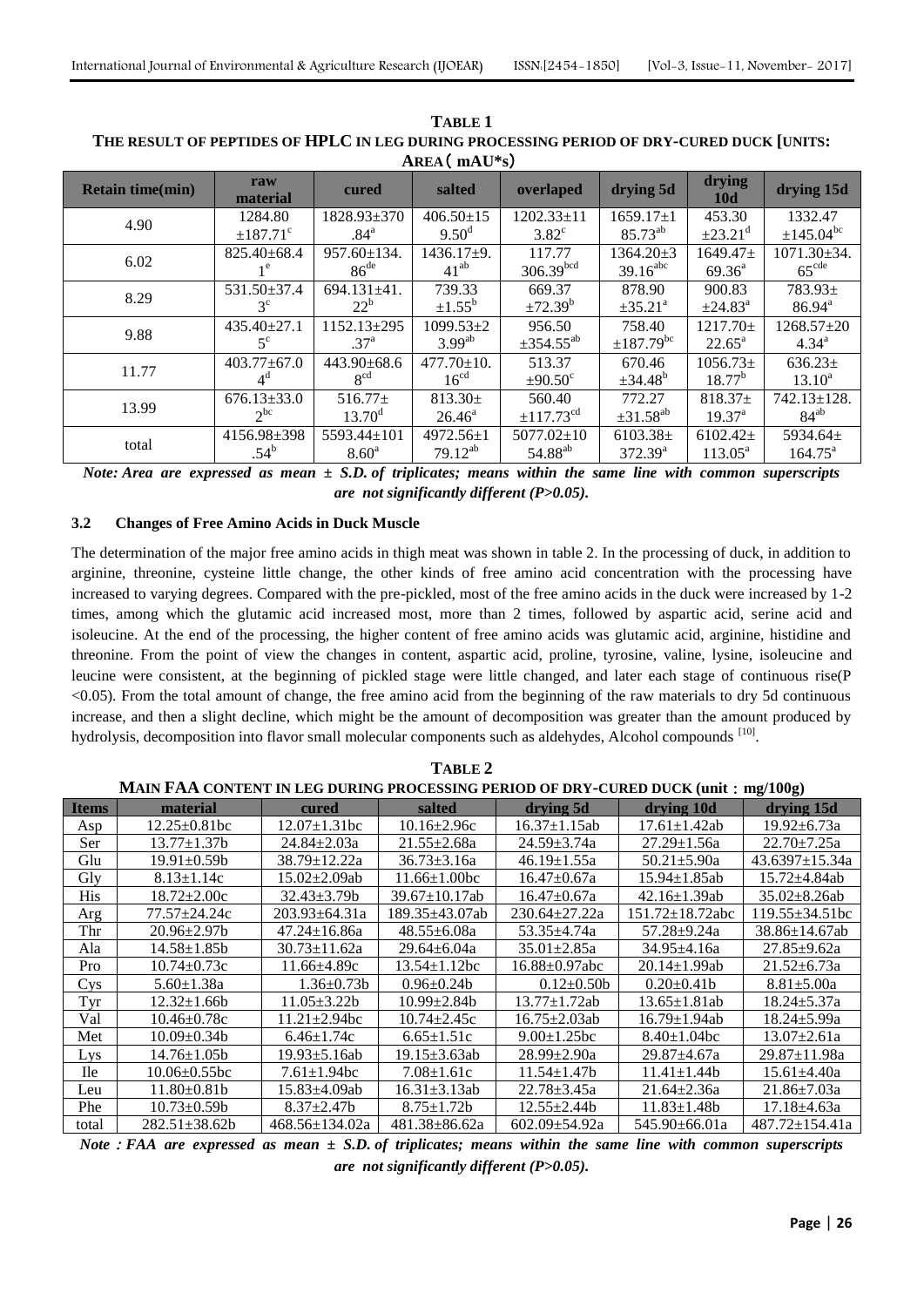| T                       |                        |                   |                    |                            |                        |                      |                       |  |  |
|-------------------------|------------------------|-------------------|--------------------|----------------------------|------------------------|----------------------|-----------------------|--|--|
| <b>Retain time(min)</b> | raw<br>material        | cured             | salted             | overlaped                  | drying 5d              | drying<br><b>10d</b> | drying 15d            |  |  |
| 4.90                    | 1284.80                | $1828.93 \pm 370$ | $406.50 \pm 15$    | $1202.33 \pm 11$           | $1659.17 \pm 1$        | 453.30               | 1332.47               |  |  |
|                         | $±187.71$ <sup>c</sup> | .84 <sup>a</sup>  | $9.50^{\rm d}$     | $3.82^{\circ}$             | $85.73^{ab}$           | $\pm 23.21^{\circ}$  | $\pm 145.04^{\rm bc}$ |  |  |
| 6.02                    | $825.40 + 68.4$        | $957.60 \pm 134.$ | $1436.17+9.$       | 117.77                     | $1364.20 + 3$          | $1649.47+$           | 1071.30±34.           |  |  |
|                         | 1 <sup>e</sup>         | 86 <sup>de</sup>  | $41^{ab}$          | $306.39^{bcd}$             | $39.16$ <sup>abc</sup> | $69.36^{\circ}$      | 65 <sup>cde</sup>     |  |  |
| 8.29                    | 531.50±37.4            | $694.131 \pm 41.$ | 739.33             | 669.37                     | 878.90                 | 900.83               | $783.93+$             |  |  |
|                         | $3^{\circ}$            | $22^b$            | $\pm 1.55^{\rm b}$ | ±72.39 <sup>b</sup>        | $\pm 35.21^{\circ}$    | $\pm 24.83^{\circ}$  | $86.94^{\circ}$       |  |  |
| 9.88                    | $435.40 \pm 27.1$      | 1152.13±295       | $1099.53 \pm 2$    | 956.50                     | 758.40                 | 1217.70±             | 1268.57±20            |  |  |
|                         | $5^{\circ}$            | 37 <sup>a</sup>   | $3.99^{ab}$        | $\pm 354.55^{ab}$          | $\pm 187.79^{\rm bc}$  | $22.65^{\circ}$      | $4.34^{\rm a}$        |  |  |
| 11.77                   | $403.77 \pm 67.0$      | $443.90 \pm 68.6$ | $477.70 \pm 10.$   | 513.37                     | 670.46                 | $1056.73\pm$         | $636.23 \pm$          |  |  |
|                         | $4^d$                  | $R^{cd}$          | 16 <sup>cd</sup>   | $+90.50^{\circ}$           | $\pm 34.48^b$          | $18.77^{b}$          | $13.10^a$             |  |  |
| 13.99                   | $676.13 \pm 33.0$      | $516.77+$         | $813.30+$          | 560.40                     | 772.27                 | $818.37+$            | 742.13±128.           |  |  |
|                         | $2^{bc}$               | $13.70^{\rm d}$   | $26.46^{\circ}$    | $\pm$ 117.73 <sup>cd</sup> | $\pm 31.58^{ab}$       | $19.37^{\text{a}}$   | $84^{ab}$             |  |  |
| total                   | 4156.98±398            | 5593.44±101       | $4972.56 \pm 1$    | $5077.02 \pm 10$           | $6103.38\pm$           | $6102.42 \pm$        | 5934.64 $\pm$         |  |  |
|                         | $.54^{b}$              | 8.60 <sup>a</sup> | $79.12^{ab}$       | 54.88 <sup>ab</sup>        | $372.39^{a}$           | $113.05^a$           | $164.75^{\circ}$      |  |  |

**TABLE 1** THE RESULT OF PEPTIDES OF HPLC IN LEG DURING PROCESSING PERIOD OF DRY-CURED DUCK [UNITS:  $AREA$  (mAI<sup>\*</sup>s)

Note: Area are expressed as mean  $\pm$  S.D. of triplicates; means within the same line with common superscripts are not significantly different ( $P > 0.05$ ).

#### $3.2$ **Changes of Free Amino Acids in Duck Muscle**

The determination of the major free amino acids in thigh meat was shown in table 2. In the processing of duck, in addition to arginine, threonine, cysteine little change, the other kinds of free amino acid concentration with the processing have increased to varying degrees. Compared with the pre-pickled, most of the free amino acids in the duck were increased by 1-2 times, among which the glutamic acid increased most, more than 2 times, followed by aspartic acid, serine acid and isoleucine. At the end of the processing, the higher content of free amino acids was glutamic acid, arginine, histidine and threonine. From the point of view the changes in content, aspartic acid, proline, tyrosine, valine, lysine, isoleucine and leucine were consistent, at the beginning of pickled stage were little changed, and later each stage of continuous rise(P <0.05). From the total amount of change, the free amino acid from the beginning of the raw materials to dry 5d continuous increase, and then a slight decline, which might be the amount of decomposition was greater than the amount produced by hydrolysis, decomposition into flavor small molecular components such as aldehydes, Alcohol compounds [10].

| MAIN FAA CONTENT IN LEG DURING PROCESSING PERIOD OF DRY-CURED DUCK (unit : mg/100g) |                      |                      |                     |                      |                     |                      |  |  |  |  |
|-------------------------------------------------------------------------------------|----------------------|----------------------|---------------------|----------------------|---------------------|----------------------|--|--|--|--|
| <b>Items</b>                                                                        | material             | cured                | salted              | drying 5d            | drying 10d          | drying 15d           |  |  |  |  |
| Asp                                                                                 | $12.25 \pm 0.81$ bc  | $12.07 \pm 1.31$ bc  | $10.16 \pm 2.96c$   | $16.37 \pm 1.15$ ab  | $17.61 \pm 1.42$ ab | $19.92 \pm 6.73a$    |  |  |  |  |
| Ser                                                                                 | $13.77 + 1.37$ b     | $24.84 \pm 2.03a$    | $21.55 \pm 2.68a$   | $24.59 \pm 3.74a$    | $27.29 \pm 1.56a$   | $22.70 \pm 7.25a$    |  |  |  |  |
| Glu                                                                                 | 19.91±0.59b          | 38.79±12.22a         | $36.73 \pm 3.16a$   | $46.19 \pm 1.55a$    | $50.21 \pm 5.90a$   | $43.6397 \pm 15.34a$ |  |  |  |  |
| Gly                                                                                 | $8.13 \pm 1.14c$     | 15.02±2.09ab         | $11.66 \pm 1.00$ bc | $16.47 \pm 0.67a$    | 15.94±1.85ab        | $15.72 \pm 4.84$ ab  |  |  |  |  |
| His                                                                                 | $18.72 \pm 2.00c$    | $32.43 + 3.79$ h     | $39.67 + 10.17$ ab  | $16.47 \pm 0.67a$    | $42.16 \pm 1.39$ ab | $35.02 \pm 8.26$ ab  |  |  |  |  |
| Arg                                                                                 | 77.57+24.24c         | $203.93 \pm 64.31a$  | 189.35+43.07ab      | $230.64 + 27.22a$    | 151.72±18.72abc     | $119.55 + 34.51$ bc  |  |  |  |  |
| Thr                                                                                 | $20.96 \pm 2.97 b$   | $47.24 \pm 16.86a$   | $48.55 \pm 6.08a$   | $53.35 + 4.74a$      | 57.28±9.24a         | $38.86 \pm 14.67$ ab |  |  |  |  |
| Ala                                                                                 | $14.58 \pm 1.85b$    | $30.73 \pm 11.62a$   | $29.64 + 6.04a$     | $35.01 \pm 2.85a$    | $34.95 \pm 4.16a$   | $27.85 \pm 9.62a$    |  |  |  |  |
| Pro                                                                                 | $10.74 \pm 0.73c$    | $11.66{\pm}4.89c$    | $13.54 \pm 1.12$ bc | $16.88 \pm 0.97$ abc | $20.14 \pm 1.99$ ab | $21.52 \pm 6.73a$    |  |  |  |  |
| <b>Cys</b>                                                                          | $5.60 \pm 1.38a$     | $1.36 \pm 0.73 b$    | $0.96 \pm 0.24 b$   | $0.12 \pm 0.50$      | $0.20 \pm 0.41 b$   | $8.81 \pm 5.00a$     |  |  |  |  |
| Tyr                                                                                 | $12.32 \pm 1.66b$    | $11.05 \pm 3.22b$    | $10.99 \pm 2.84 b$  | $13.77 \pm 1.72ab$   | $13.65 \pm 1.81$ ab | $18.24 \pm 5.37a$    |  |  |  |  |
| Val                                                                                 | $10.46 \pm 0.78c$    | $11.21 \pm 2.94$ bc  | $10.74 \pm 2.45c$   | $16.75 \pm 2.03$ ab  | $16.79 \pm 1.94$ ab | $18.24 \pm 5.99a$    |  |  |  |  |
| Met                                                                                 | 10.09±0.34b          | $6.46 \pm 1.74c$     | $6.65 \pm 1.51c$    | $9.00 \pm 1.25$ bc   | $8.40 \pm 1.04$ bc  | $13.07 \pm 2.61a$    |  |  |  |  |
| Lys                                                                                 | 14.76±1.05b          | $19.93 \pm 5.16$ ab  | 19.15±3.63ab        | $28.99 \pm 2.90a$    | $29.87 \pm 4.67a$   | $29.87 + 11.98a$     |  |  |  |  |
| <b>Ile</b>                                                                          | $10.06 \pm 0.55$ bc  | $7.61 \pm 1.94$ bc   | $7.08 \pm 1.61c$    | $11.54 \pm 1.47$     | $11.41 \pm 1.44b$   | $15.61 \pm 4.40a$    |  |  |  |  |
| Leu                                                                                 | $11.80 \pm 0.81$     | 15.83±4.09ab         | $16.31 \pm 3.13$ ab | $22.78 \pm 3.45a$    | $21.64 \pm 2.36a$   | $21.86 \pm 7.03a$    |  |  |  |  |
| Phe                                                                                 | $10.73 \pm 0.59$     | $8.37 \pm 2.47$      | $8.75 \pm 1.72b$    | $12.55 \pm 2.44b$    | $11.83 \pm 1.48b$   | $17.18 \pm 4.63a$    |  |  |  |  |
| total                                                                               | $282.51 \pm 38.62 b$ | $468.56 \pm 134.02a$ | $481.38 \pm 86.62a$ | $602.09 \pm 54.92a$  | 545.90±66.01a       | $487.72 \pm 154.41a$ |  |  |  |  |

TABLE<sub>2</sub>

Note : FAA are expressed as mean  $\pm$  S.D. of triplicates; means within the same line with common superscripts are not significantly different  $(P>0.05)$ .